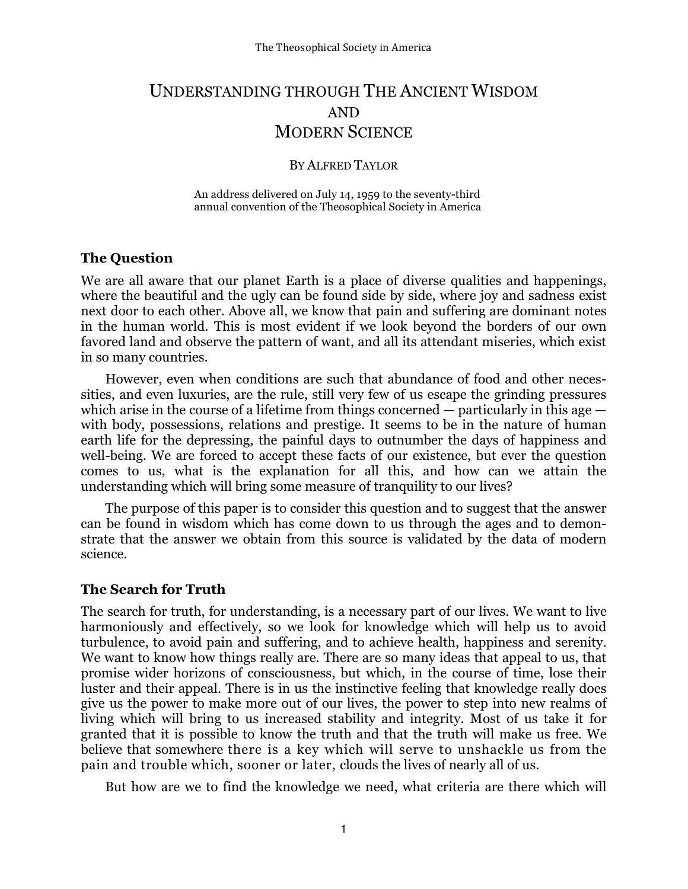# UNDERSTANDING THROUGH THE ANCIENT WISDOM AND MODERN SCIENCE

#### BY ALFRED TAYLOR

An address delivered on July 14, 1959 to the seventy-third annual convention of the Theosophical Society in America

#### The Question

We are all aware that our planet Earth is a place of diverse qualities and happenings, where the beautiful and the ugly can be found side by side, where joy and sadness exist next door to each other. Above all, we know that pain and suffering are dominant notes in the human world. This is most evident if we look beyond the borders of our own favored land and observe the pattern of want, and all its attendant miseries, which exist in so many countries.

However, even when conditions are such that abundance of food and other necessities, and even luxuries, are the rule, still very few of us escape the grinding pressures which arise in the course of a lifetime from things concerned — particularly in this age with body, possessions, relations and prestige. It seems to be in the nature of human earth life for the depressing, the painful days to outnumber the days of happiness and well-being. We are forced to accept these facts of our existence, but ever the question comes to us, what is the explanation for all this, and how can we attain the understanding which will bring some measure of tranquility to our lives?

The purpose of this paper is to consider this question and to suggest that the answer can be found in wisdom which has come down to us through the ages and to demonstrate that the answer we obtain from this source is validated by the data of modern science.

### The Search for Truth

The search for truth, for understanding, is a necessary part of our lives. We want to live harmoniously and effectively, so we look for knowledge which will help us to avoid turbulence, to avoid pain and suffering, and to achieve health, happiness and serenity. We want to know how things really are. There are so many ideas that appeal to us, that promise wider horizons of consciousness, but which, in the course of time, lose their luster and their appeal. There is in us the instinctive feeling that knowledge really does give us the power to make more out of our lives, the power to step into new realms of living which will bring to us increased stability and integrity. Most of us take it for granted that it is possible to know the truth and that the truth will make us free. We believe that somewhere there is a key which will serve to unshackle us from the pain and trouble which, sooner or later, clouds the lives of nearly all of us.

But how are we to find the knowledge we need, what criteria are there which will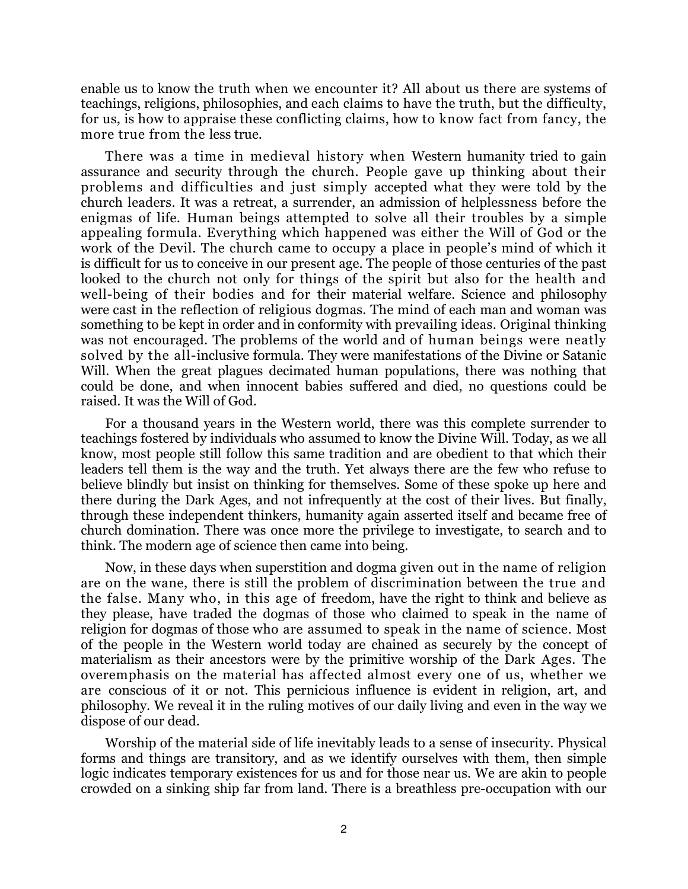enable us to know the truth when we encounter it? All about us there are systems of teachings, religions, philosophies, and each claims to have the truth, but the difficulty, for us, is how to appraise these conflicting claims, how to know fact from fancy, the more true from the less true.

There was a time in medieval history when Western humanity tried to gain assurance and security through the church. People gave up thinking about their problems and difficulties and just simply accepted what they were told by the church leaders. It was a retreat, a surrender, an admission of helplessness before the enigmas of life. Human beings attempted to solve all their troubles by a simple appealing formula. Everything which happened was either the Will of God or the work of the Devil. The church came to occupy a place in people's mind of which it is difficult for us to conceive in our present age. The people of those centuries of the past looked to the church not only for things of the spirit but also for the health and well-being of their bodies and for their material welfare. Science and philosophy were cast in the reflection of religious dogmas. The mind of each man and woman was something to be kept in order and in conformity with prevailing ideas. Original thinking was not encouraged. The problems of the world and of human beings were neatly solved by the all-inclusive formula. They were manifestations of the Divine or Satanic Will. When the great plagues decimated human populations, there was nothing that could be done, and when innocent babies suffered and died, no questions could be raised. It was the Will of God.

For a thousand years in the Western world, there was this complete surrender to teachings fostered by individuals who assumed to know the Divine Will. Today, as we all know, most people still follow this same tradition and are obedient to that which their leaders tell them is the way and the truth. Yet always there are the few who refuse to believe blindly but insist on thinking for themselves. Some of these spoke up here and there during the Dark Ages, and not infrequently at the cost of their lives. But finally, through these independent thinkers, humanity again asserted itself and became free of church domination. There was once more the privilege to investigate, to search and to think. The modern age of science then came into being.

Now, in these days when superstition and dogma given out in the name of religion are on the wane, there is still the problem of discrimination between the true and the false. Many who, in this age of freedom, have the right to think and believe as they please, have traded the dogmas of those who claimed to speak in the name of religion for dogmas of those who are assumed to speak in the name of science. Most of the people in the Western world today are chained as securely by the concept of materialism as their ancestors were by the primitive worship of the Dark Ages. The overemphasis on the material has affected almost every one of us, whether we are conscious of it or not. This pernicious influence is evident in religion, art, and philosophy. We reveal it in the ruling motives of our daily living and even in the way we dispose of our dead.

Worship of the material side of life inevitably leads to a sense of insecurity. Physical forms and things are transitory, and as we identify ourselves with them, then simple logic indicates temporary existences for us and for those near us. We are akin to people crowded on a sinking ship far from land. There is a breathless pre-occupation with our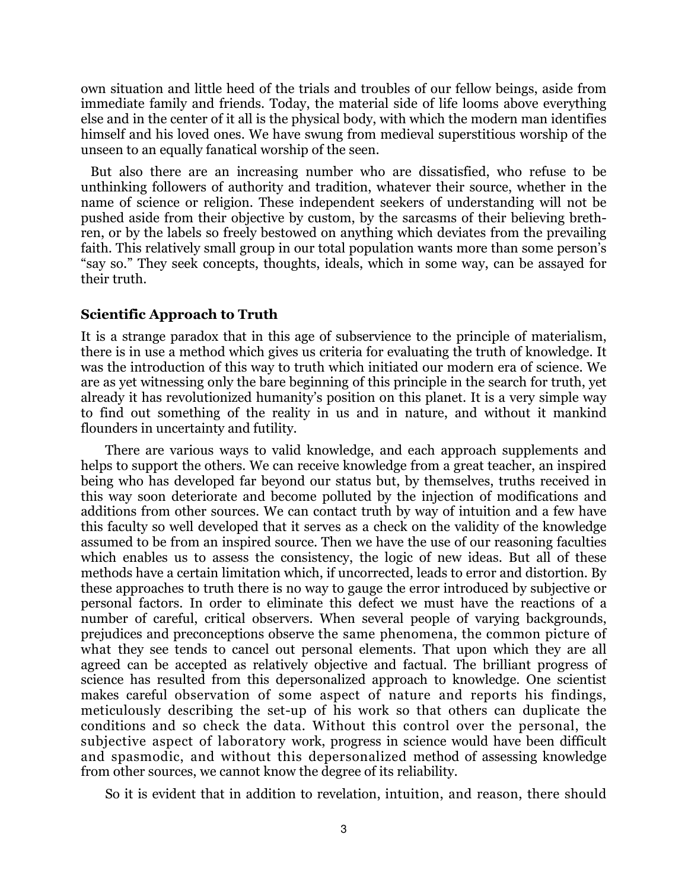own situation and little heed of the trials and troubles of our fellow beings, aside from immediate family and friends. Today, the material side of life looms above everything else and in the center of it all is the physical body, with which the modern man identifies himself and his loved ones. We have swung from medieval superstitious worship of the unseen to an equally fanatical worship of the seen.

 But also there are an increasing number who are dissatisfied, who refuse to be unthinking followers of authority and tradition, whatever their source, whether in the name of science or religion. These independent seekers of understanding will not be pushed aside from their objective by custom, by the sarcasms of their believing brethren, or by the labels so freely bestowed on anything which deviates from the prevailing faith. This relatively small group in our total population wants more than some person's "say so." They seek concepts, thoughts, ideals, which in some way, can be assayed for their truth.

### Scientific Approach to Truth

It is a strange paradox that in this age of subservience to the principle of materialism, there is in use a method which gives us criteria for evaluating the truth of knowledge. It was the introduction of this way to truth which initiated our modern era of science. We are as yet witnessing only the bare beginning of this principle in the search for truth, yet already it has revolutionized humanity's position on this planet. It is a very simple way to find out something of the reality in us and in nature, and without it mankind flounders in uncertainty and futility.

There are various ways to valid knowledge, and each approach supplements and helps to support the others. We can receive knowledge from a great teacher, an inspired being who has developed far beyond our status but, by themselves, truths received in this way soon deteriorate and become polluted by the injection of modifications and additions from other sources. We can contact truth by way of intuition and a few have this faculty so well developed that it serves as a check on the validity of the knowledge assumed to be from an inspired source. Then we have the use of our reasoning faculties which enables us to assess the consistency, the logic of new ideas. But all of these methods have a certain limitation which, if uncorrected, leads to error and distortion. By these approaches to truth there is no way to gauge the error introduced by subjective or personal factors. In order to eliminate this defect we must have the reactions of a number of careful, critical observers. When several people of varying backgrounds, prejudices and preconceptions observe the same phenomena, the common picture of what they see tends to cancel out personal elements. That upon which they are all agreed can be accepted as relatively objective and factual. The brilliant progress of science has resulted from this depersonalized approach to knowledge. One scientist makes careful observation of some aspect of nature and reports his findings, meticulously describing the set-up of his work so that others can duplicate the conditions and so check the data. Without this control over the personal, the subjective aspect of laboratory work, progress in science would have been difficult and spasmodic, and without this depersonalized method of assessing knowledge from other sources, we cannot know the degree of its reliability.

So it is evident that in addition to revelation, intuition, and reason, there should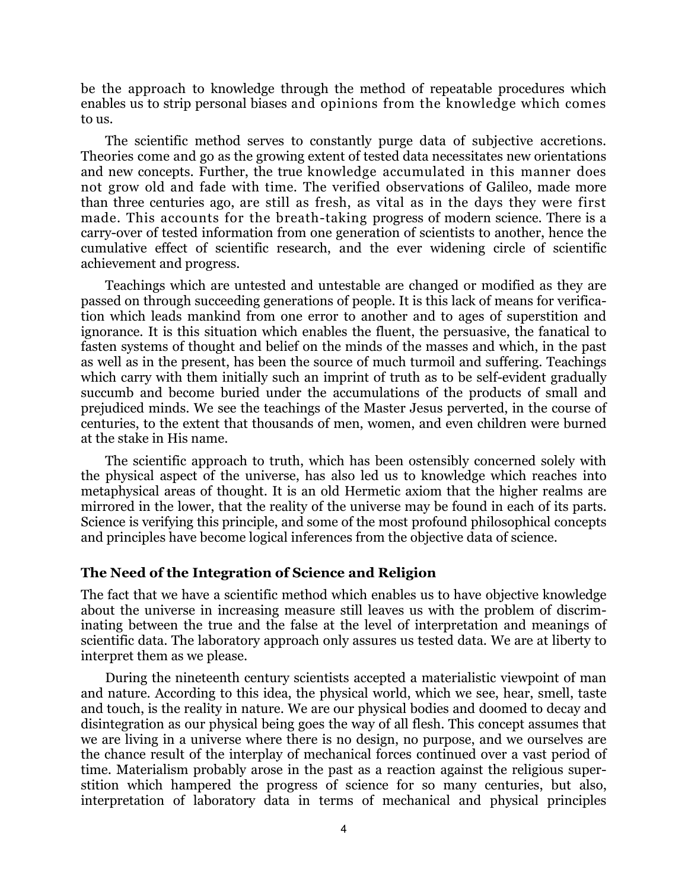be the approach to knowledge through the method of repeatable procedures which enables us to strip personal biases and opinions from the knowledge which comes to us.

The scientific method serves to constantly purge data of subjective accretions. Theories come and go as the growing extent of tested data necessitates new orientations and new concepts. Further, the true knowledge accumulated in this manner does not grow old and fade with time. The verified observations of Galileo, made more than three centuries ago, are still as fresh, as vital as in the days they were first made. This accounts for the breath-taking progress of modern science. There is a carry-over of tested information from one generation of scientists to another, hence the cumulative effect of scientific research, and the ever widening circle of scientific achievement and progress.

Teachings which are untested and untestable are changed or modified as they are passed on through succeeding generations of people. It is this lack of means for verification which leads mankind from one error to another and to ages of superstition and ignorance. It is this situation which enables the fluent, the persuasive, the fanatical to fasten systems of thought and belief on the minds of the masses and which, in the past as well as in the present, has been the source of much turmoil and suffering. Teachings which carry with them initially such an imprint of truth as to be self-evident gradually succumb and become buried under the accumulations of the products of small and prejudiced minds. We see the teachings of the Master Jesus perverted, in the course of centuries, to the extent that thousands of men, women, and even children were burned at the stake in His name.

The scientific approach to truth, which has been ostensibly concerned solely with the physical aspect of the universe, has also led us to knowledge which reaches into metaphysical areas of thought. It is an old Hermetic axiom that the higher realms are mirrored in the lower, that the reality of the universe may be found in each of its parts. Science is verifying this principle, and some of the most profound philosophical concepts and principles have become logical inferences from the objective data of science.

#### The Need of the Integration of Science and Religion

The fact that we have a scientific method which enables us to have objective knowledge about the universe in increasing measure still leaves us with the problem of discriminating between the true and the false at the level of interpretation and meanings of scientific data. The laboratory approach only assures us tested data. We are at liberty to interpret them as we please.

During the nineteenth century scientists accepted a materialistic viewpoint of man and nature. According to this idea, the physical world, which we see, hear, smell, taste and touch, is the reality in nature. We are our physical bodies and doomed to decay and disintegration as our physical being goes the way of all flesh. This concept assumes that we are living in a universe where there is no design, no purpose, and we ourselves are the chance result of the interplay of mechanical forces continued over a vast period of time. Materialism probably arose in the past as a reaction against the religious superstition which hampered the progress of science for so many centuries, but also, interpretation of laboratory data in terms of mechanical and physical principles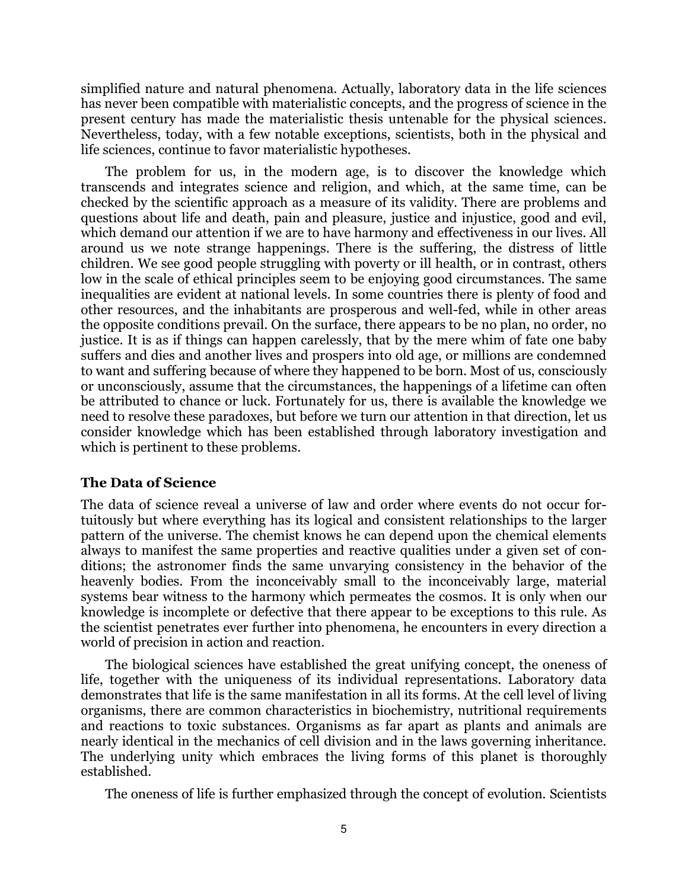simplified nature and natural phenomena. Actually, laboratory data in the life sciences has never been compatible with materialistic concepts, and the progress of science in the present century has made the materialistic thesis untenable for the physical sciences. Nevertheless, today, with a few notable exceptions, scientists, both in the physical and life sciences, continue to favor materialistic hypotheses.

The problem for us, in the modern age, is to discover the knowledge which transcends and integrates science and religion, and which, at the same time, can be checked by the scientific approach as a measure of its validity. There are problems and questions about life and death, pain and pleasure, justice and injustice, good and evil, which demand our attention if we are to have harmony and effectiveness in our lives. All around us we note strange happenings. There is the suffering, the distress of little children. We see good people struggling with poverty or ill health, or in contrast, others low in the scale of ethical principles seem to be enjoying good circumstances. The same inequalities are evident at national levels. In some countries there is plenty of food and other resources, and the inhabitants are prosperous and well-fed, while in other areas the opposite conditions prevail. On the surface, there appears to be no plan, no order, no justice. It is as if things can happen carelessly, that by the mere whim of fate one baby suffers and dies and another lives and prospers into old age, or millions are condemned to want and suffering because of where they happened to be born. Most of us, consciously or unconsciously, assume that the circumstances, the happenings of a lifetime can often be attributed to chance or luck. Fortunately for us, there is available the knowledge we need to resolve these paradoxes, but before we turn our attention in that direction, let us consider knowledge which has been established through laboratory investigation and which is pertinent to these problems.

## The Data of Science

The data of science reveal a universe of law and order where events do not occur fortuitously but where everything has its logical and consistent relationships to the larger pattern of the universe. The chemist knows he can depend upon the chemical elements always to manifest the same properties and reactive qualities under a given set of conditions; the astronomer finds the same unvarying consistency in the behavior of the heavenly bodies. From the inconceivably small to the inconceivably large, material systems bear witness to the harmony which permeates the cosmos. It is only when our knowledge is incomplete or defective that there appear to be exceptions to this rule. As the scientist penetrates ever further into phenomena, he encounters in every direction a world of precision in action and reaction.

The biological sciences have established the great unifying concept, the oneness of life, together with the uniqueness of its individual representations. Laboratory data demonstrates that life is the same manifestation in all its forms. At the cell level of living organisms, there are common characteristics in biochemistry, nutritional requirements and reactions to toxic substances. Organisms as far apart as plants and animals are nearly identical in the mechanics of cell division and in the laws governing inheritance. The underlying unity which embraces the living forms of this planet is thoroughly established.

The oneness of life is further emphasized through the concept of evolution. Scientists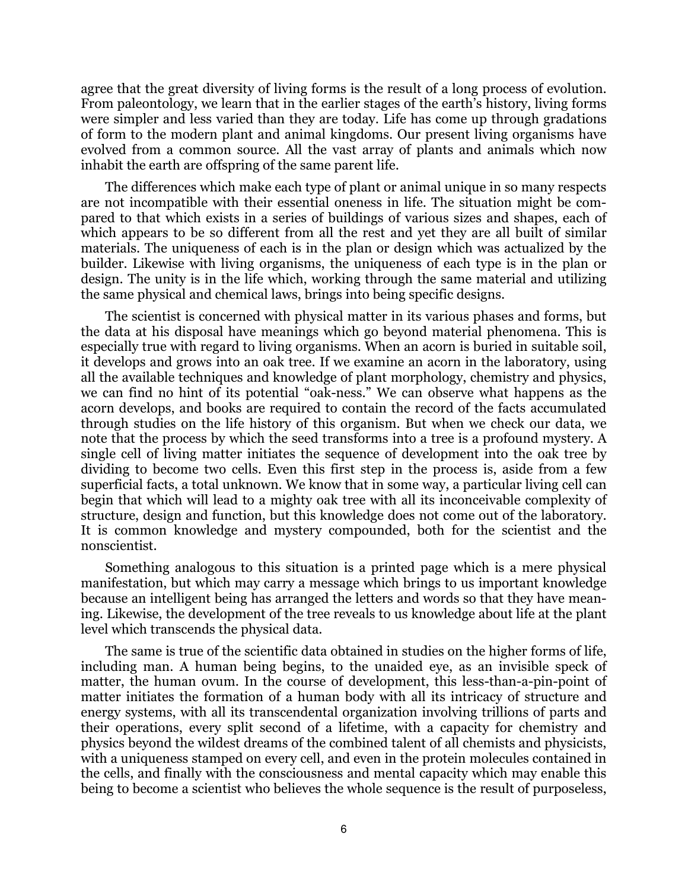agree that the great diversity of living forms is the result of a long process of evolution. From paleontology, we learn that in the earlier stages of the earth's history, living forms were simpler and less varied than they are today. Life has come up through gradations of form to the modern plant and animal kingdoms. Our present living organisms have evolved from a common source. All the vast array of plants and animals which now inhabit the earth are offspring of the same parent life.

The differences which make each type of plant or animal unique in so many respects are not incompatible with their essential oneness in life. The situation might be compared to that which exists in a series of buildings of various sizes and shapes, each of which appears to be so different from all the rest and yet they are all built of similar materials. The uniqueness of each is in the plan or design which was actualized by the builder. Likewise with living organisms, the uniqueness of each type is in the plan or design. The unity is in the life which, working through the same material and utilizing the same physical and chemical laws, brings into being specific designs.

The scientist is concerned with physical matter in its various phases and forms, but the data at his disposal have meanings which go beyond material phenomena. This is especially true with regard to living organisms. When an acorn is buried in suitable soil, it develops and grows into an oak tree. If we examine an acorn in the laboratory, using all the available techniques and knowledge of plant morphology, chemistry and physics, we can find no hint of its potential "oak-ness." We can observe what happens as the acorn develops, and books are required to contain the record of the facts accumulated through studies on the life history of this organism. But when we check our data, we note that the process by which the seed transforms into a tree is a profound mystery. A single cell of living matter initiates the sequence of development into the oak tree by dividing to become two cells. Even this first step in the process is, aside from a few superficial facts, a total unknown. We know that in some way, a particular living cell can begin that which will lead to a mighty oak tree with all its inconceivable complexity of structure, design and function, but this knowledge does not come out of the laboratory. It is common knowledge and mystery compounded, both for the scientist and the nonscientist.

Something analogous to this situation is a printed page which is a mere physical manifestation, but which may carry a message which brings to us important knowledge because an intelligent being has arranged the letters and words so that they have meaning. Likewise, the development of the tree reveals to us knowledge about life at the plant level which transcends the physical data.

The same is true of the scientific data obtained in studies on the higher forms of life, including man. A human being begins, to the unaided eye, as an invisible speck of matter, the human ovum. In the course of development, this less-than-a-pin-point of matter initiates the formation of a human body with all its intricacy of structure and energy systems, with all its transcendental organization involving trillions of parts and their operations, every split second of a lifetime, with a capacity for chemistry and physics beyond the wildest dreams of the combined talent of all chemists and physicists, with a uniqueness stamped on every cell, and even in the protein molecules contained in the cells, and finally with the consciousness and mental capacity which may enable this being to become a scientist who believes the whole sequence is the result of purposeless,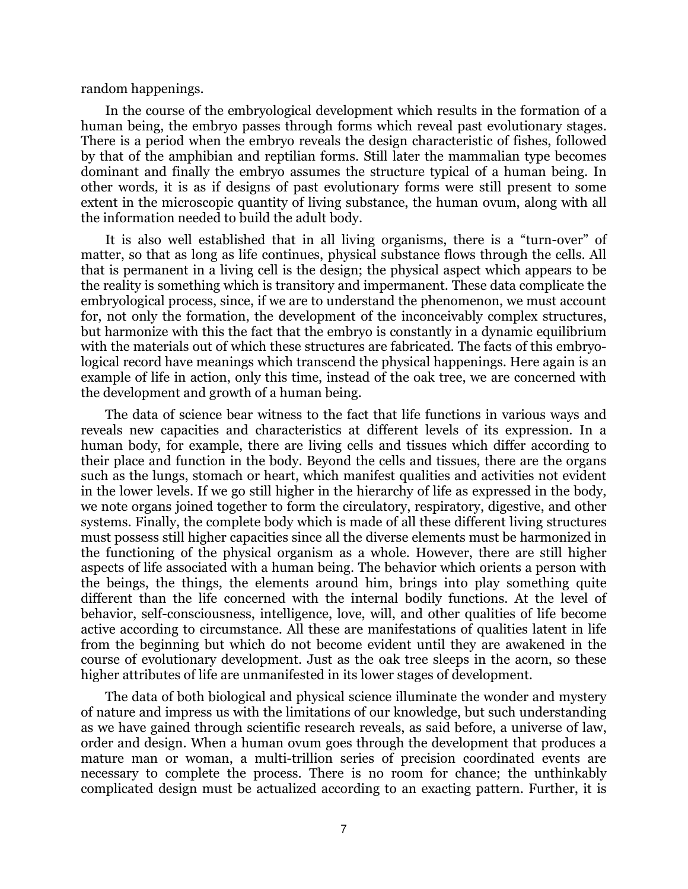random happenings.

In the course of the embryological development which results in the formation of a human being, the embryo passes through forms which reveal past evolutionary stages. There is a period when the embryo reveals the design characteristic of fishes, followed by that of the amphibian and reptilian forms. Still later the mammalian type becomes dominant and finally the embryo assumes the structure typical of a human being. In other words, it is as if designs of past evolutionary forms were still present to some extent in the microscopic quantity of living substance, the human ovum, along with all the information needed to build the adult body.

It is also well established that in all living organisms, there is a "turn-over" of matter, so that as long as life continues, physical substance flows through the cells. All that is permanent in a living cell is the design; the physical aspect which appears to be the reality is something which is transitory and impermanent. These data complicate the embryological process, since, if we are to understand the phenomenon, we must account for, not only the formation, the development of the inconceivably complex structures, but harmonize with this the fact that the embryo is constantly in a dynamic equilibrium with the materials out of which these structures are fabricated. The facts of this embryological record have meanings which transcend the physical happenings. Here again is an example of life in action, only this time, instead of the oak tree, we are concerned with the development and growth of a human being.

The data of science bear witness to the fact that life functions in various ways and reveals new capacities and characteristics at different levels of its expression. In a human body, for example, there are living cells and tissues which differ according to their place and function in the body. Beyond the cells and tissues, there are the organs such as the lungs, stomach or heart, which manifest qualities and activities not evident in the lower levels. If we go still higher in the hierarchy of life as expressed in the body, we note organs joined together to form the circulatory, respiratory, digestive, and other systems. Finally, the complete body which is made of all these different living structures must possess still higher capacities since all the diverse elements must be harmonized in the functioning of the physical organism as a whole. However, there are still higher aspects of life associated with a human being. The behavior which orients a person with the beings, the things, the elements around him, brings into play something quite different than the life concerned with the internal bodily functions. At the level of behavior, self-consciousness, intelligence, love, will, and other qualities of life become active according to circumstance. All these are manifestations of qualities latent in life from the beginning but which do not become evident until they are awakened in the course of evolutionary development. Just as the oak tree sleeps in the acorn, so these higher attributes of life are unmanifested in its lower stages of development.

The data of both biological and physical science illuminate the wonder and mystery of nature and impress us with the limitations of our knowledge, but such understanding as we have gained through scientific research reveals, as said before, a universe of law, order and design. When a human ovum goes through the development that produces a mature man or woman, a multi-trillion series of precision coordinated events are necessary to complete the process. There is no room for chance; the unthinkably complicated design must be actualized according to an exacting pattern. Further, it is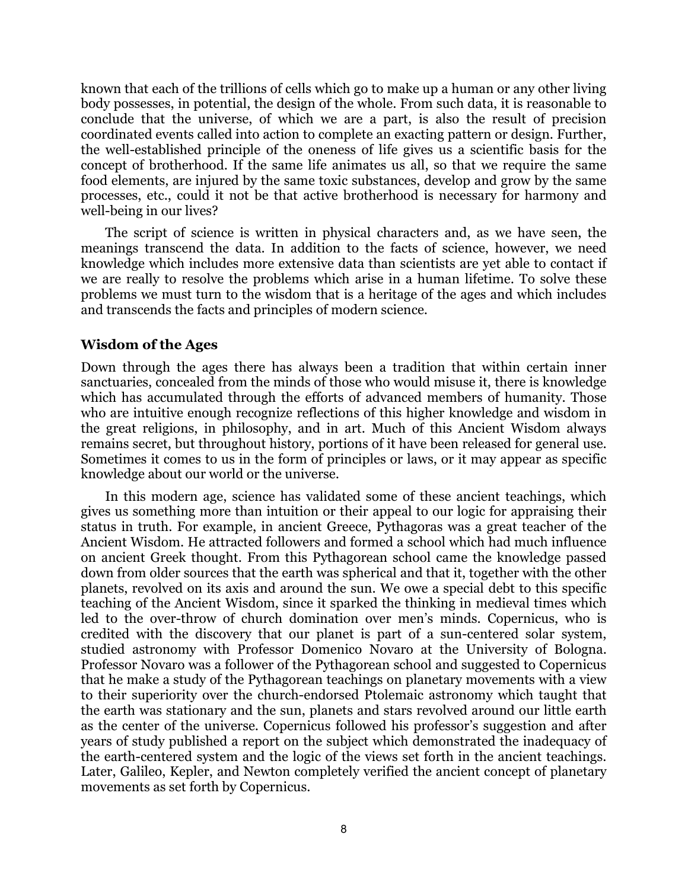known that each of the trillions of cells which go to make up a human or any other living body possesses, in potential, the design of the whole. From such data, it is reasonable to conclude that the universe, of which we are a part, is also the result of precision coordinated events called into action to complete an exacting pattern or design. Further, the well-established principle of the oneness of life gives us a scientific basis for the concept of brotherhood. If the same life animates us all, so that we require the same food elements, are injured by the same toxic substances, develop and grow by the same processes, etc., could it not be that active brotherhood is necessary for harmony and well-being in our lives?

The script of science is written in physical characters and, as we have seen, the meanings transcend the data. In addition to the facts of science, however, we need knowledge which includes more extensive data than scientists are yet able to contact if we are really to resolve the problems which arise in a human lifetime. To solve these problems we must turn to the wisdom that is a heritage of the ages and which includes and transcends the facts and principles of modern science.

### Wisdom of the Ages

Down through the ages there has always been a tradition that within certain inner sanctuaries, concealed from the minds of those who would misuse it, there is knowledge which has accumulated through the efforts of advanced members of humanity. Those who are intuitive enough recognize reflections of this higher knowledge and wisdom in the great religions, in philosophy, and in art. Much of this Ancient Wisdom always remains secret, but throughout history, portions of it have been released for general use. Sometimes it comes to us in the form of principles or laws, or it may appear as specific knowledge about our world or the universe.

In this modern age, science has validated some of these ancient teachings, which gives us something more than intuition or their appeal to our logic for appraising their status in truth. For example, in ancient Greece, Pythagoras was a great teacher of the Ancient Wisdom. He attracted followers and formed a school which had much influence on ancient Greek thought. From this Pythagorean school came the knowledge passed down from older sources that the earth was spherical and that it, together with the other planets, revolved on its axis and around the sun. We owe a special debt to this specific teaching of the Ancient Wisdom, since it sparked the thinking in medieval times which led to the over-throw of church domination over men's minds. Copernicus, who is credited with the discovery that our planet is part of a sun-centered solar system, studied astronomy with Professor Domenico Novaro at the University of Bologna. Professor Novaro was a follower of the Pythagorean school and suggested to Copernicus that he make a study of the Pythagorean teachings on planetary movements with a view to their superiority over the church-endorsed Ptolemaic astronomy which taught that the earth was stationary and the sun, planets and stars revolved around our little earth as the center of the universe. Copernicus followed his professor's suggestion and after years of study published a report on the subject which demonstrated the inadequacy of the earth-centered system and the logic of the views set forth in the ancient teachings. Later, Galileo, Kepler, and Newton completely verified the ancient concept of planetary movements as set forth by Copernicus.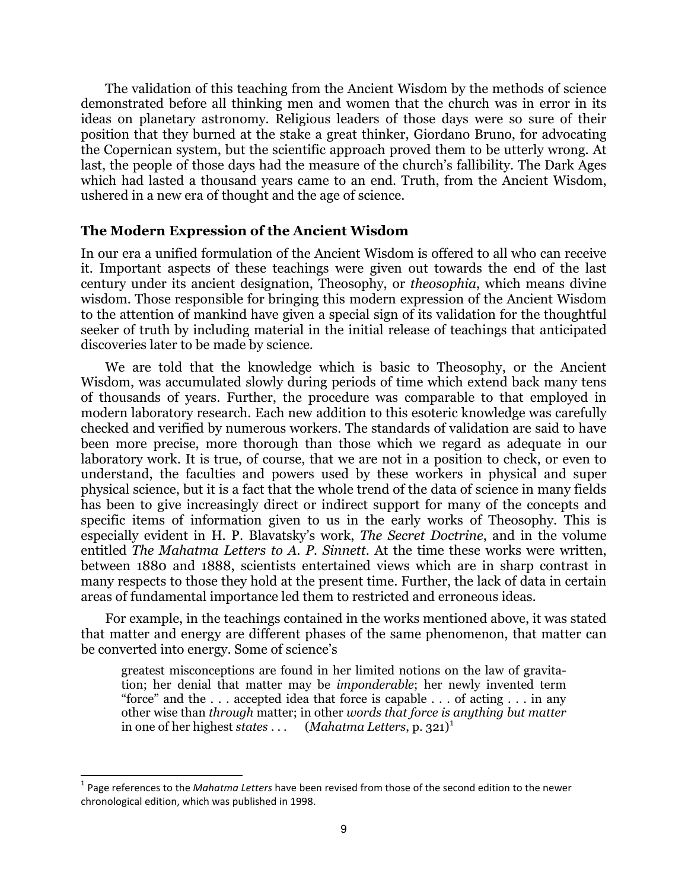The validation of this teaching from the Ancient Wisdom by the methods of science demonstrated before all thinking men and women that the church was in error in its ideas on planetary astronomy. Religious leaders of those days were so sure of their position that they burned at the stake a great thinker, Giordano Bruno, for advocating the Copernican system, but the scientific approach proved them to be utterly wrong. At last, the people of those days had the measure of the church's fallibility. The Dark Ages which had lasted a thousand years came to an end. Truth, from the Ancient Wisdom, ushered in a new era of thought and the age of science.

### The Modern Expression of the Ancient Wisdom

In our era a unified formulation of the Ancient Wisdom is offered to all who can receive it. Important aspects of these teachings were given out towards the end of the last century under its ancient designation, Theosophy, or theosophia, which means divine wisdom. Those responsible for bringing this modern expression of the Ancient Wisdom to the attention of mankind have given a special sign of its validation for the thoughtful seeker of truth by including material in the initial release of teachings that anticipated discoveries later to be made by science.

We are told that the knowledge which is basic to Theosophy, or the Ancient Wisdom, was accumulated slowly during periods of time which extend back many tens of thousands of years. Further, the procedure was comparable to that employed in modern laboratory research. Each new addition to this esoteric knowledge was carefully checked and verified by numerous workers. The standards of validation are said to have been more precise, more thorough than those which we regard as adequate in our laboratory work. It is true, of course, that we are not in a position to check, or even to understand, the faculties and powers used by these workers in physical and super physical science, but it is a fact that the whole trend of the data of science in many fields has been to give increasingly direct or indirect support for many of the concepts and specific items of information given to us in the early works of Theosophy. This is especially evident in H. P. Blavatsky's work, The Secret Doctrine, and in the volume entitled The Mahatma Letters to A. P. Sinnett. At the time these works were written, between 1880 and 1888, scientists entertained views which are in sharp contrast in many respects to those they hold at the present time. Further, the lack of data in certain areas of fundamental importance led them to restricted and erroneous ideas.

For example, in the teachings contained in the works mentioned above, it was stated that matter and energy are different phases of the same phenomenon, that matter can be converted into energy. Some of science's

greatest misconceptions are found in her limited notions on the law of gravitation; her denial that matter may be imponderable; her newly invented term "force" and the  $\dots$  accepted idea that force is capable  $\dots$  of acting  $\dots$  in any other wise than through matter; in other words that force is anything but matter in one of her highest states ...  $(Mahatma Letters, p. 321)^1$ 

j

<sup>&</sup>lt;sup>1</sup> Page references to the *Mahatma Letters* have been revised from those of the second edition to the newer chronological edition, which was published in 1998.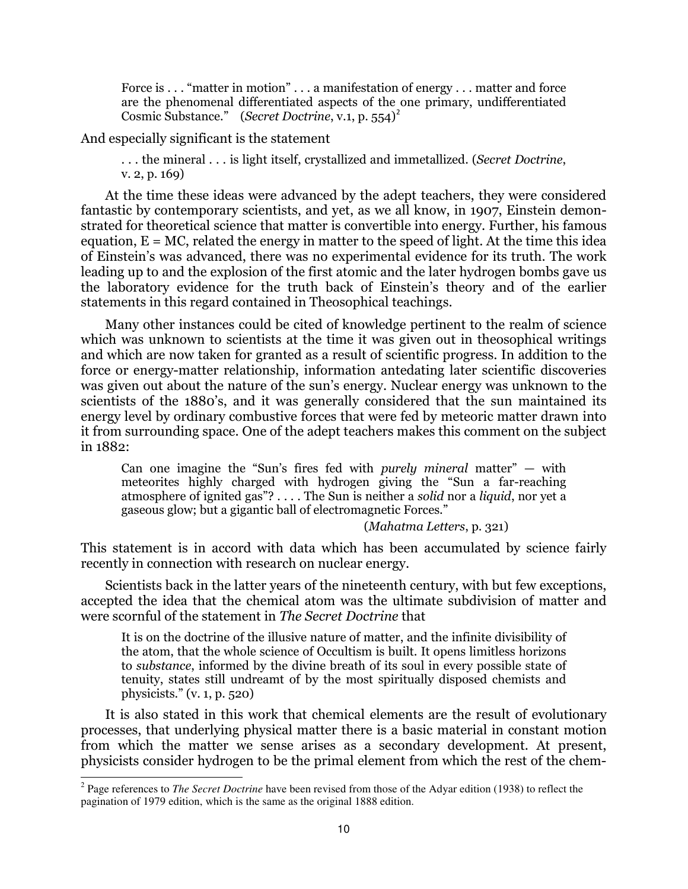Force is . . . "matter in motion" . . . a manifestation of energy . . . matter and force are the phenomenal differentiated aspects of the one primary, undifferentiated Cosmic Substance." (Secret Doctrine, v.1, p.  $554$ )<sup>2</sup>

And especially significant is the statement

... the mineral ... is light itself, crystallized and immetallized. (Secret Doctrine, v. 2, p. 169)

At the time these ideas were advanced by the adept teachers, they were considered fantastic by contemporary scientists, and yet, as we all know, in 1907, Einstein demonstrated for theoretical science that matter is convertible into energy. Further, his famous equation,  $E = MC$ , related the energy in matter to the speed of light. At the time this idea of Einstein's was advanced, there was no experimental evidence for its truth. The work leading up to and the explosion of the first atomic and the later hydrogen bombs gave us the laboratory evidence for the truth back of Einstein's theory and of the earlier statements in this regard contained in Theosophical teachings.

Many other instances could be cited of knowledge pertinent to the realm of science which was unknown to scientists at the time it was given out in theosophical writings and which are now taken for granted as a result of scientific progress. In addition to the force or energy-matter relationship, information antedating later scientific discoveries was given out about the nature of the sun's energy. Nuclear energy was unknown to the scientists of the 1880's, and it was generally considered that the sun maintained its energy level by ordinary combustive forces that were fed by meteoric matter drawn into it from surrounding space. One of the adept teachers makes this comment on the subject in 1882:

Can one imagine the "Sun's fires fed with purely mineral matter" — with meteorites highly charged with hydrogen giving the "Sun a far-reaching atmosphere of ignited gas"? . . . . The Sun is neither a solid nor a liquid, nor yet a gaseous glow; but a gigantic ball of electromagnetic Forces."

(Mahatma Letters, p. 321)

This statement is in accord with data which has been accumulated by science fairly recently in connection with research on nuclear energy.

Scientists back in the latter years of the nineteenth century, with but few exceptions, accepted the idea that the chemical atom was the ultimate subdivision of matter and were scornful of the statement in The Secret Doctrine that

It is on the doctrine of the illusive nature of matter, and the infinite divisibility of the atom, that the whole science of Occultism is built. It opens limitless horizons to substance, informed by the divine breath of its soul in every possible state of tenuity, states still undreamt of by the most spiritually disposed chemists and physicists." (v. 1, p. 520)

It is also stated in this work that chemical elements are the result of evolutionary processes, that underlying physical matter there is a basic material in constant motion from which the matter we sense arises as a secondary development. At present, physicists consider hydrogen to be the primal element from which the rest of the chem-

<sup>&</sup>lt;sup>2</sup> Page references to *The Secret Doctrine* have been revised from those of the Adyar edition (1938) to reflect the pagination of 1979 edition, which is the same as the original 1888 edition.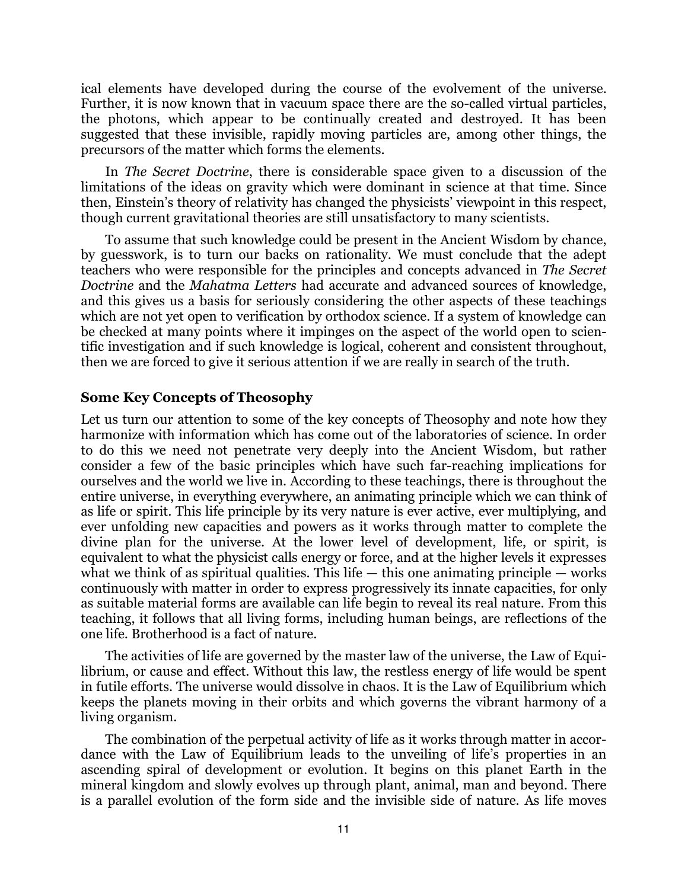ical elements have developed during the course of the evolvement of the universe. Further, it is now known that in vacuum space there are the so-called virtual particles, the photons, which appear to be continually created and destroyed. It has been suggested that these invisible, rapidly moving particles are, among other things, the precursors of the matter which forms the elements.

In The Secret Doctrine, there is considerable space given to a discussion of the limitations of the ideas on gravity which were dominant in science at that time. Since then, Einstein's theory of relativity has changed the physicists' viewpoint in this respect, though current gravitational theories are still unsatisfactory to many scientists.

To assume that such knowledge could be present in the Ancient Wisdom by chance, by guesswork, is to turn our backs on rationality. We must conclude that the adept teachers who were responsible for the principles and concepts advanced in The Secret Doctrine and the Mahatma Letters had accurate and advanced sources of knowledge, and this gives us a basis for seriously considering the other aspects of these teachings which are not yet open to verification by orthodox science. If a system of knowledge can be checked at many points where it impinges on the aspect of the world open to scientific investigation and if such knowledge is logical, coherent and consistent throughout, then we are forced to give it serious attention if we are really in search of the truth.

## Some Key Concepts of Theosophy

Let us turn our attention to some of the key concepts of Theosophy and note how they harmonize with information which has come out of the laboratories of science. In order to do this we need not penetrate very deeply into the Ancient Wisdom, but rather consider a few of the basic principles which have such far-reaching implications for ourselves and the world we live in. According to these teachings, there is throughout the entire universe, in everything everywhere, an animating principle which we can think of as life or spirit. This life principle by its very nature is ever active, ever multiplying, and ever unfolding new capacities and powers as it works through matter to complete the divine plan for the universe. At the lower level of development, life, or spirit, is equivalent to what the physicist calls energy or force, and at the higher levels it expresses what we think of as spiritual qualities. This life  $-$  this one animating principle  $-$  works continuously with matter in order to express progressively its innate capacities, for only as suitable material forms are available can life begin to reveal its real nature. From this teaching, it follows that all living forms, including human beings, are reflections of the one life. Brotherhood is a fact of nature.

The activities of life are governed by the master law of the universe, the Law of Equilibrium, or cause and effect. Without this law, the restless energy of life would be spent in futile efforts. The universe would dissolve in chaos. It is the Law of Equilibrium which keeps the planets moving in their orbits and which governs the vibrant harmony of a living organism.

The combination of the perpetual activity of life as it works through matter in accordance with the Law of Equilibrium leads to the unveiling of life's properties in an ascending spiral of development or evolution. It begins on this planet Earth in the mineral kingdom and slowly evolves up through plant, animal, man and beyond. There is a parallel evolution of the form side and the invisible side of nature. As life moves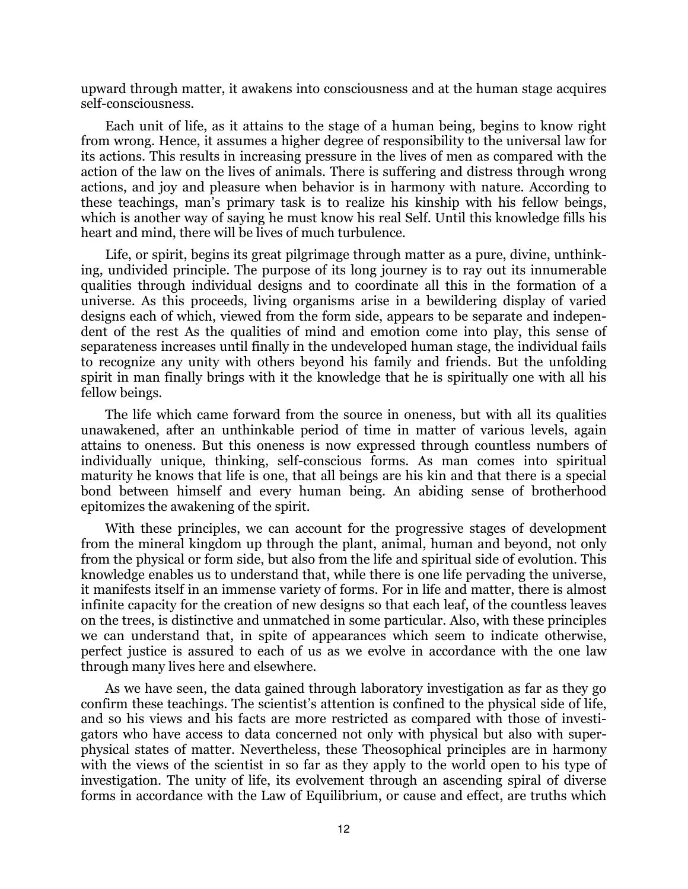upward through matter, it awakens into consciousness and at the human stage acquires self-consciousness.

Each unit of life, as it attains to the stage of a human being, begins to know right from wrong. Hence, it assumes a higher degree of responsibility to the universal law for its actions. This results in increasing pressure in the lives of men as compared with the action of the law on the lives of animals. There is suffering and distress through wrong actions, and joy and pleasure when behavior is in harmony with nature. According to these teachings, man's primary task is to realize his kinship with his fellow beings, which is another way of saying he must know his real Self. Until this knowledge fills his heart and mind, there will be lives of much turbulence.

Life, or spirit, begins its great pilgrimage through matter as a pure, divine, unthinking, undivided principle. The purpose of its long journey is to ray out its innumerable qualities through individual designs and to coordinate all this in the formation of a universe. As this proceeds, living organisms arise in a bewildering display of varied designs each of which, viewed from the form side, appears to be separate and independent of the rest As the qualities of mind and emotion come into play, this sense of separateness increases until finally in the undeveloped human stage, the individual fails to recognize any unity with others beyond his family and friends. But the unfolding spirit in man finally brings with it the knowledge that he is spiritually one with all his fellow beings.

The life which came forward from the source in oneness, but with all its qualities unawakened, after an unthinkable period of time in matter of various levels, again attains to oneness. But this oneness is now expressed through countless numbers of individually unique, thinking, self-conscious forms. As man comes into spiritual maturity he knows that life is one, that all beings are his kin and that there is a special bond between himself and every human being. An abiding sense of brotherhood epitomizes the awakening of the spirit.

With these principles, we can account for the progressive stages of development from the mineral kingdom up through the plant, animal, human and beyond, not only from the physical or form side, but also from the life and spiritual side of evolution. This knowledge enables us to understand that, while there is one life pervading the universe, it manifests itself in an immense variety of forms. For in life and matter, there is almost infinite capacity for the creation of new designs so that each leaf, of the countless leaves on the trees, is distinctive and unmatched in some particular. Also, with these principles we can understand that, in spite of appearances which seem to indicate otherwise, perfect justice is assured to each of us as we evolve in accordance with the one law through many lives here and elsewhere.

As we have seen, the data gained through laboratory investigation as far as they go confirm these teachings. The scientist's attention is confined to the physical side of life, and so his views and his facts are more restricted as compared with those of investigators who have access to data concerned not only with physical but also with superphysical states of matter. Nevertheless, these Theosophical principles are in harmony with the views of the scientist in so far as they apply to the world open to his type of investigation. The unity of life, its evolvement through an ascending spiral of diverse forms in accordance with the Law of Equilibrium, or cause and effect, are truths which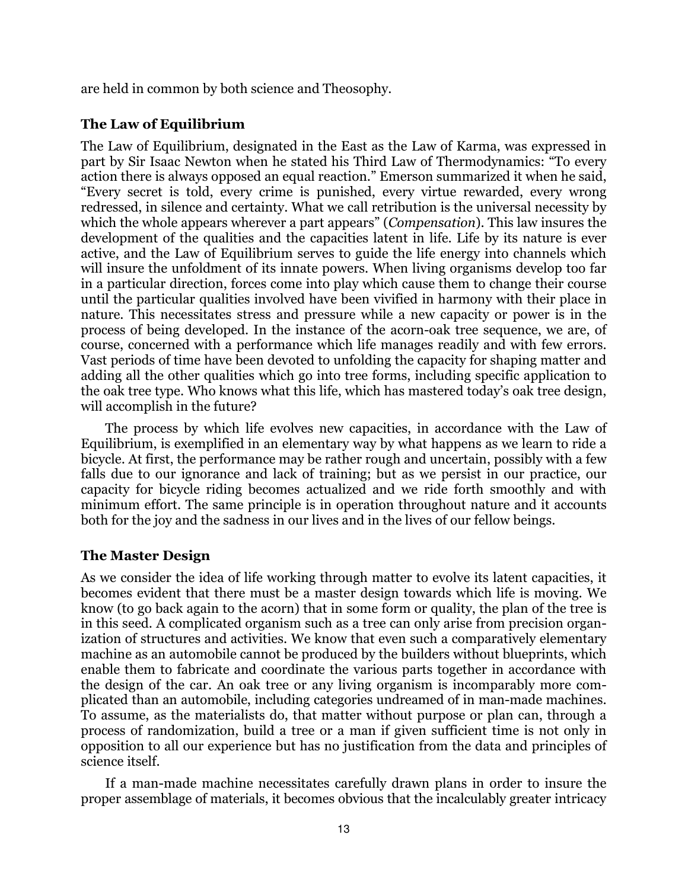are held in common by both science and Theosophy.

## The Law of Equilibrium

The Law of Equilibrium, designated in the East as the Law of Karma, was expressed in part by Sir Isaac Newton when he stated his Third Law of Thermodynamics: "To every action there is always opposed an equal reaction." Emerson summarized it when he said, "Every secret is told, every crime is punished, every virtue rewarded, every wrong redressed, in silence and certainty. What we call retribution is the universal necessity by which the whole appears wherever a part appears" (*Compensation*). This law insures the development of the qualities and the capacities latent in life. Life by its nature is ever active, and the Law of Equilibrium serves to guide the life energy into channels which will insure the unfoldment of its innate powers. When living organisms develop too far in a particular direction, forces come into play which cause them to change their course until the particular qualities involved have been vivified in harmony with their place in nature. This necessitates stress and pressure while a new capacity or power is in the process of being developed. In the instance of the acorn-oak tree sequence, we are, of course, concerned with a performance which life manages readily and with few errors. Vast periods of time have been devoted to unfolding the capacity for shaping matter and adding all the other qualities which go into tree forms, including specific application to the oak tree type. Who knows what this life, which has mastered today's oak tree design, will accomplish in the future?

The process by which life evolves new capacities, in accordance with the Law of Equilibrium, is exemplified in an elementary way by what happens as we learn to ride a bicycle. At first, the performance may be rather rough and uncertain, possibly with a few falls due to our ignorance and lack of training; but as we persist in our practice, our capacity for bicycle riding becomes actualized and we ride forth smoothly and with minimum effort. The same principle is in operation throughout nature and it accounts both for the joy and the sadness in our lives and in the lives of our fellow beings.

# The Master Design

As we consider the idea of life working through matter to evolve its latent capacities, it becomes evident that there must be a master design towards which life is moving. We know (to go back again to the acorn) that in some form or quality, the plan of the tree is in this seed. A complicated organism such as a tree can only arise from precision organization of structures and activities. We know that even such a comparatively elementary machine as an automobile cannot be produced by the builders without blueprints, which enable them to fabricate and coordinate the various parts together in accordance with the design of the car. An oak tree or any living organism is incomparably more complicated than an automobile, including categories undreamed of in man-made machines. To assume, as the materialists do, that matter without purpose or plan can, through a process of randomization, build a tree or a man if given sufficient time is not only in opposition to all our experience but has no justification from the data and principles of science itself.

If a man-made machine necessitates carefully drawn plans in order to insure the proper assemblage of materials, it becomes obvious that the incalculably greater intricacy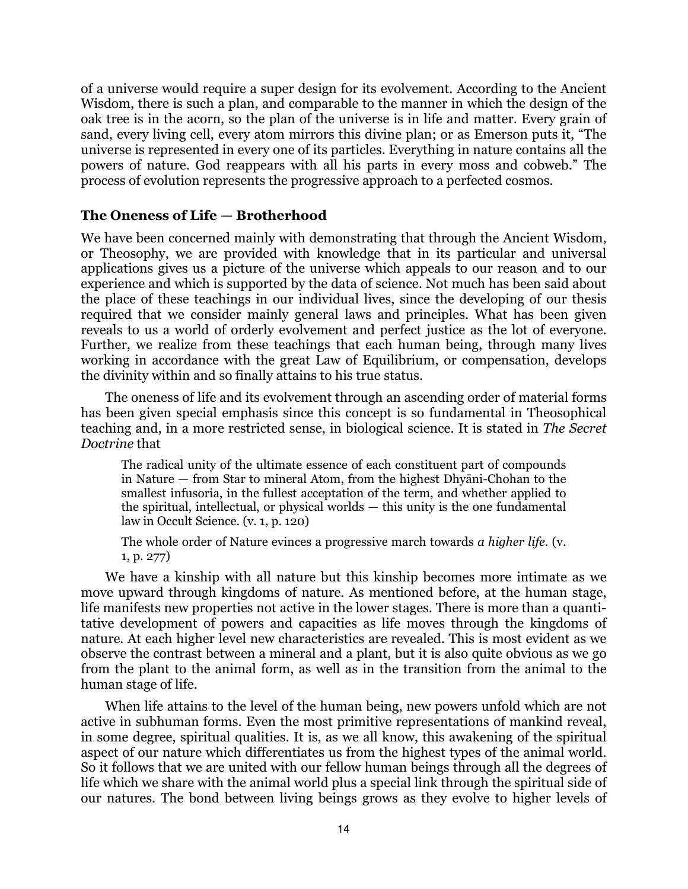of a universe would require a super design for its evolvement. According to the Ancient Wisdom, there is such a plan, and comparable to the manner in which the design of the oak tree is in the acorn, so the plan of the universe is in life and matter. Every grain of sand, every living cell, every atom mirrors this divine plan; or as Emerson puts it, "The universe is represented in every one of its particles. Everything in nature contains all the powers of nature. God reappears with all his parts in every moss and cobweb." The process of evolution represents the progressive approach to a perfected cosmos.

# The Oneness of Life — Brotherhood

We have been concerned mainly with demonstrating that through the Ancient Wisdom, or Theosophy, we are provided with knowledge that in its particular and universal applications gives us a picture of the universe which appeals to our reason and to our experience and which is supported by the data of science. Not much has been said about the place of these teachings in our individual lives, since the developing of our thesis required that we consider mainly general laws and principles. What has been given reveals to us a world of orderly evolvement and perfect justice as the lot of everyone. Further, we realize from these teachings that each human being, through many lives working in accordance with the great Law of Equilibrium, or compensation, develops the divinity within and so finally attains to his true status.

The oneness of life and its evolvement through an ascending order of material forms has been given special emphasis since this concept is so fundamental in Theosophical teaching and, in a more restricted sense, in biological science. It is stated in The Secret Doctrine that

The radical unity of the ultimate essence of each constituent part of compounds in Nature — from Star to mineral Atom, from the highest Dhyāni-Chohan to the smallest infusoria, in the fullest acceptation of the term, and whether applied to the spiritual, intellectual, or physical worlds — this unity is the one fundamental law in Occult Science. (v. 1, p. 120)

The whole order of Nature evinces a progressive march towards a higher life. (v. 1, p. 277)

We have a kinship with all nature but this kinship becomes more intimate as we move upward through kingdoms of nature. As mentioned before, at the human stage, life manifests new properties not active in the lower stages. There is more than a quantitative development of powers and capacities as life moves through the kingdoms of nature. At each higher level new characteristics are revealed. This is most evident as we observe the contrast between a mineral and a plant, but it is also quite obvious as we go from the plant to the animal form, as well as in the transition from the animal to the human stage of life.

When life attains to the level of the human being, new powers unfold which are not active in subhuman forms. Even the most primitive representations of mankind reveal, in some degree, spiritual qualities. It is, as we all know, this awakening of the spiritual aspect of our nature which differentiates us from the highest types of the animal world. So it follows that we are united with our fellow human beings through all the degrees of life which we share with the animal world plus a special link through the spiritual side of our natures. The bond between living beings grows as they evolve to higher levels of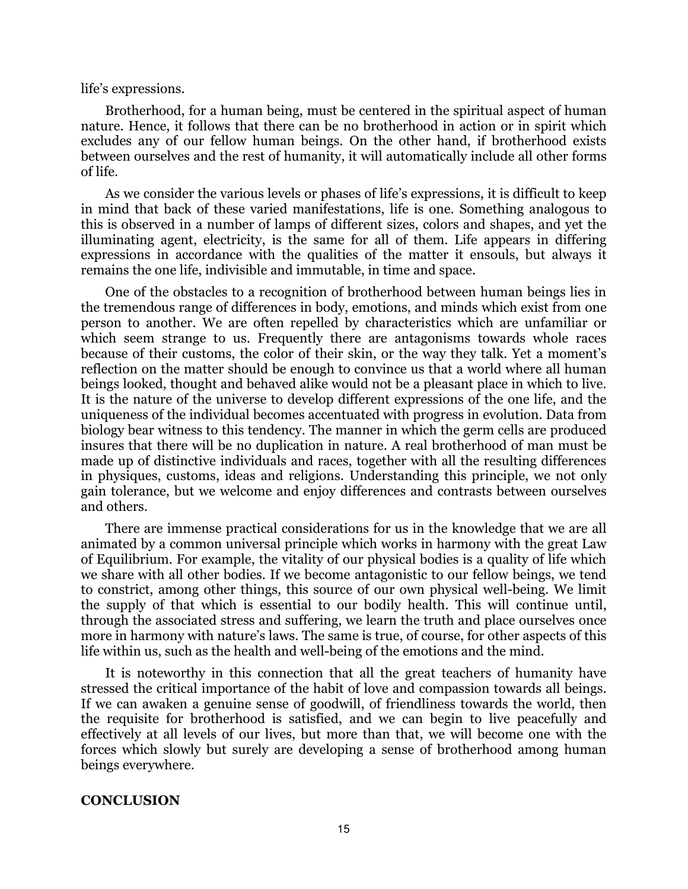#### life's expressions.

Brotherhood, for a human being, must be centered in the spiritual aspect of human nature. Hence, it follows that there can be no brotherhood in action or in spirit which excludes any of our fellow human beings. On the other hand, if brotherhood exists between ourselves and the rest of humanity, it will automatically include all other forms of life.

As we consider the various levels or phases of life's expressions, it is difficult to keep in mind that back of these varied manifestations, life is one. Something analogous to this is observed in a number of lamps of different sizes, colors and shapes, and yet the illuminating agent, electricity, is the same for all of them. Life appears in differing expressions in accordance with the qualities of the matter it ensouls, but always it remains the one life, indivisible and immutable, in time and space.

One of the obstacles to a recognition of brotherhood between human beings lies in the tremendous range of differences in body, emotions, and minds which exist from one person to another. We are often repelled by characteristics which are unfamiliar or which seem strange to us. Frequently there are antagonisms towards whole races because of their customs, the color of their skin, or the way they talk. Yet a moment's reflection on the matter should be enough to convince us that a world where all human beings looked, thought and behaved alike would not be a pleasant place in which to live. It is the nature of the universe to develop different expressions of the one life, and the uniqueness of the individual becomes accentuated with progress in evolution. Data from biology bear witness to this tendency. The manner in which the germ cells are produced insures that there will be no duplication in nature. A real brotherhood of man must be made up of distinctive individuals and races, together with all the resulting differences in physiques, customs, ideas and religions. Understanding this principle, we not only gain tolerance, but we welcome and enjoy differences and contrasts between ourselves and others.

There are immense practical considerations for us in the knowledge that we are all animated by a common universal principle which works in harmony with the great Law of Equilibrium. For example, the vitality of our physical bodies is a quality of life which we share with all other bodies. If we become antagonistic to our fellow beings, we tend to constrict, among other things, this source of our own physical well-being. We limit the supply of that which is essential to our bodily health. This will continue until, through the associated stress and suffering, we learn the truth and place ourselves once more in harmony with nature's laws. The same is true, of course, for other aspects of this life within us, such as the health and well-being of the emotions and the mind.

It is noteworthy in this connection that all the great teachers of humanity have stressed the critical importance of the habit of love and compassion towards all beings. If we can awaken a genuine sense of goodwill, of friendliness towards the world, then the requisite for brotherhood is satisfied, and we can begin to live peacefully and effectively at all levels of our lives, but more than that, we will become one with the forces which slowly but surely are developing a sense of brotherhood among human beings everywhere.

#### **CONCLUSION**